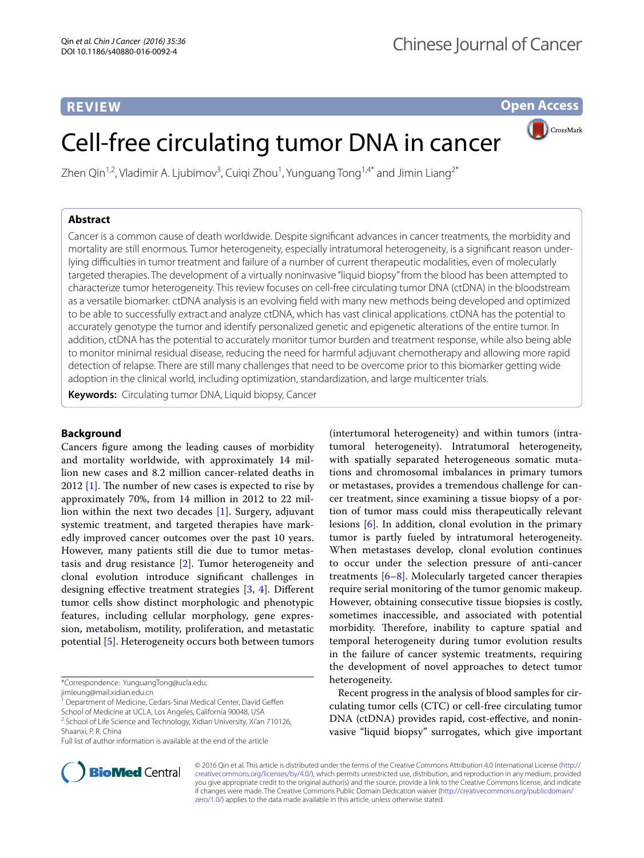# **REVIEW**

**Open Access**

CrossMark

# Cell-free circulating tumor DNA in cancer

Zhen Qin<sup>1,2</sup>, Vladimir A. Ljubimov<sup>3</sup>, Cuiqi Zhou<sup>1</sup>, Yunguang Tong<sup>1,4\*</sup> and Jimin Liang<sup>2\*</sup>

## **Abstract**

Cancer is a common cause of death worldwide. Despite significant advances in cancer treatments, the morbidity and mortality are still enormous. Tumor heterogeneity, especially intratumoral heterogeneity, is a significant reason underlying difficulties in tumor treatment and failure of a number of current therapeutic modalities, even of molecularly targeted therapies. The development of a virtually noninvasive "liquid biopsy" from the blood has been attempted to characterize tumor heterogeneity. This review focuses on cell-free circulating tumor DNA (ctDNA) in the bloodstream as a versatile biomarker. ctDNA analysis is an evolving field with many new methods being developed and optimized to be able to successfully extract and analyze ctDNA, which has vast clinical applications. ctDNA has the potential to accurately genotype the tumor and identify personalized genetic and epigenetic alterations of the entire tumor. In addition, ctDNA has the potential to accurately monitor tumor burden and treatment response, while also being able to monitor minimal residual disease, reducing the need for harmful adjuvant chemotherapy and allowing more rapid detection of relapse. There are still many challenges that need to be overcome prior to this biomarker getting wide adoption in the clinical world, including optimization, standardization, and large multicenter trials.

**Keywords:** Circulating tumor DNA, Liquid biopsy, Cancer

## **Background**

Cancers figure among the leading causes of morbidity and mortality worldwide, with approximately 14 million new cases and 8.2 million cancer-related deaths in 2012 [\[1](#page-5-0)]. The number of new cases is expected to rise by approximately 70%, from 14 million in 2012 to 22 million within the next two decades [\[1](#page-5-0)]. Surgery, adjuvant systemic treatment, and targeted therapies have markedly improved cancer outcomes over the past 10 years. However, many patients still die due to tumor metastasis and drug resistance [[2\]](#page-5-1). Tumor heterogeneity and clonal evolution introduce significant challenges in designing effective treatment strategies [[3](#page-5-2), [4](#page-5-3)]. Different tumor cells show distinct morphologic and phenotypic features, including cellular morphology, gene expression, metabolism, motility, proliferation, and metastatic potential [\[5](#page-5-4)]. Heterogeneity occurs both between tumors

\*Correspondence: YunguangTong@ucla.edu; jimleung@mail.xidian.edu.cn

(intertumoral heterogeneity) and within tumors (intratumoral heterogeneity). Intratumoral heterogeneity, with spatially separated heterogeneous somatic mutations and chromosomal imbalances in primary tumors or metastases, provides a tremendous challenge for cancer treatment, since examining a tissue biopsy of a portion of tumor mass could miss therapeutically relevant lesions [[6\]](#page-5-5). In addition, clonal evolution in the primary tumor is partly fueled by intratumoral heterogeneity. When metastases develop, clonal evolution continues to occur under the selection pressure of anti-cancer treatments  $[6-8]$  $[6-8]$ . Molecularly targeted cancer therapies require serial monitoring of the tumor genomic makeup. However, obtaining consecutive tissue biopsies is costly, sometimes inaccessible, and associated with potential morbidity. Therefore, inability to capture spatial and temporal heterogeneity during tumor evolution results in the failure of cancer systemic treatments, requiring the development of novel approaches to detect tumor heterogeneity.

Recent progress in the analysis of blood samples for circulating tumor cells (CTC) or cell-free circulating tumor DNA (ctDNA) provides rapid, cost-effective, and noninvasive "liquid biopsy" surrogates, which give important



© 2016 Qin et al. This article is distributed under the terms of the Creative Commons Attribution 4.0 International License [\(http://](http://creativecommons.org/licenses/by/4.0/) [creativecommons.org/licenses/by/4.0/](http://creativecommons.org/licenses/by/4.0/)), which permits unrestricted use, distribution, and reproduction in any medium, provided you give appropriate credit to the original author(s) and the source, provide a link to the Creative Commons license, and indicate if changes were made. The Creative Commons Public Domain Dedication waiver ([http://creativecommons.org/publicdomain/](http://creativecommons.org/publicdomain/zero/1.0/) [zero/1.0/](http://creativecommons.org/publicdomain/zero/1.0/)) applies to the data made available in this article, unless otherwise stated.

<sup>&</sup>lt;sup>1</sup> Department of Medicine, Cedars-Sinai Medical Center, David Geffen

School of Medicine at UCLA, Los Angeles, California 90048, USA <sup>2</sup> School of Life Science and Technology, Xidian University, Xi'an 710126, Shaanxi, P. R. China

Full list of author information is available at the end of the article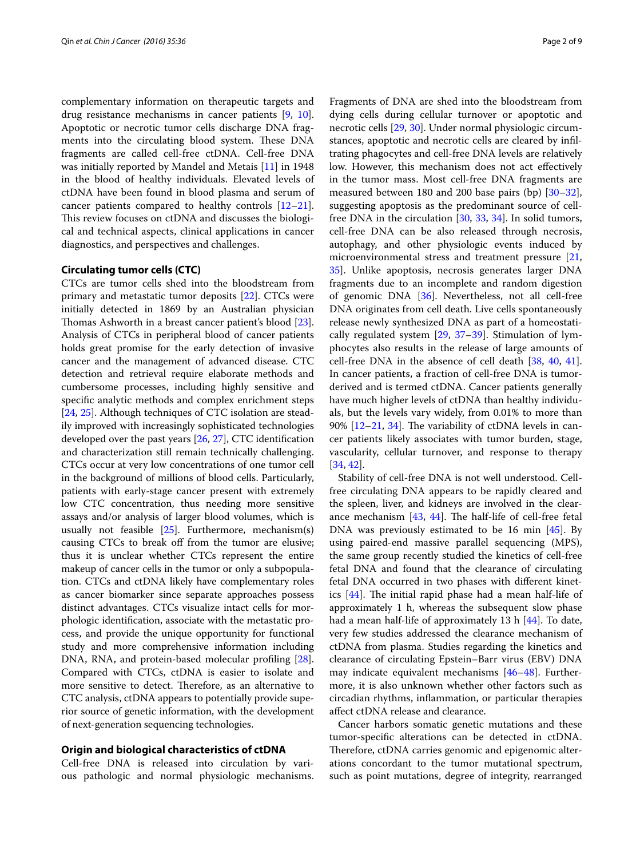complementary information on therapeutic targets and drug resistance mechanisms in cancer patients [[9,](#page-5-7) [10](#page-5-8)]. Apoptotic or necrotic tumor cells discharge DNA fragments into the circulating blood system. These DNA fragments are called cell-free ctDNA. Cell-free DNA was initially reported by Mandel and Metais [\[11](#page-5-9)] in 1948 in the blood of healthy individuals. Elevated levels of ctDNA have been found in blood plasma and serum of cancer patients compared to healthy controls [[12](#page-5-10)[–21](#page-5-11)]. This review focuses on ctDNA and discusses the biological and technical aspects, clinical applications in cancer diagnostics, and perspectives and challenges.

#### **Circulating tumor cells (CTC)**

CTCs are tumor cells shed into the bloodstream from primary and metastatic tumor deposits [[22](#page-5-12)]. CTCs were initially detected in 1869 by an Australian physician Thomas Ashworth in a breast cancer patient's blood [\[23](#page-5-13)]. Analysis of CTCs in peripheral blood of cancer patients holds great promise for the early detection of invasive cancer and the management of advanced disease. CTC detection and retrieval require elaborate methods and cumbersome processes, including highly sensitive and specific analytic methods and complex enrichment steps [[24,](#page-6-0) [25](#page-6-1)]. Although techniques of CTC isolation are steadily improved with increasingly sophisticated technologies developed over the past years [\[26,](#page-6-2) [27](#page-6-3)], CTC identification and characterization still remain technically challenging. CTCs occur at very low concentrations of one tumor cell in the background of millions of blood cells. Particularly, patients with early-stage cancer present with extremely low CTC concentration, thus needing more sensitive assays and/or analysis of larger blood volumes, which is usually not feasible [\[25](#page-6-1)]. Furthermore, mechanism(s) causing CTCs to break off from the tumor are elusive; thus it is unclear whether CTCs represent the entire makeup of cancer cells in the tumor or only a subpopulation. CTCs and ctDNA likely have complementary roles as cancer biomarker since separate approaches possess distinct advantages. CTCs visualize intact cells for morphologic identification, associate with the metastatic process, and provide the unique opportunity for functional study and more comprehensive information including DNA, RNA, and protein-based molecular profiling [\[28](#page-6-4)]. Compared with CTCs, ctDNA is easier to isolate and more sensitive to detect. Therefore, as an alternative to CTC analysis, ctDNA appears to potentially provide superior source of genetic information, with the development of next-generation sequencing technologies.

## **Origin and biological characteristics of ctDNA**

Cell-free DNA is released into circulation by various pathologic and normal physiologic mechanisms.

Fragments of DNA are shed into the bloodstream from dying cells during cellular turnover or apoptotic and necrotic cells [\[29](#page-6-5), [30\]](#page-6-6). Under normal physiologic circumstances, apoptotic and necrotic cells are cleared by infiltrating phagocytes and cell-free DNA levels are relatively low. However, this mechanism does not act effectively in the tumor mass. Most cell-free DNA fragments are measured between 180 and 200 base pairs (bp) [[30](#page-6-6)[–32](#page-6-7)], suggesting apoptosis as the predominant source of cellfree DNA in the circulation [[30,](#page-6-6) [33,](#page-6-8) [34](#page-6-9)]. In solid tumors, cell-free DNA can be also released through necrosis, autophagy, and other physiologic events induced by microenvironmental stress and treatment pressure [[21](#page-5-11), [35\]](#page-6-10). Unlike apoptosis, necrosis generates larger DNA fragments due to an incomplete and random digestion of genomic DNA [\[36](#page-6-11)]. Nevertheless, not all cell-free DNA originates from cell death. Live cells spontaneously release newly synthesized DNA as part of a homeostatically regulated system [[29,](#page-6-5) [37–](#page-6-12)[39](#page-6-13)]. Stimulation of lymphocytes also results in the release of large amounts of cell-free DNA in the absence of cell death [[38](#page-6-14), [40](#page-6-15), [41](#page-6-16)]. In cancer patients, a fraction of cell-free DNA is tumorderived and is termed ctDNA. Cancer patients generally have much higher levels of ctDNA than healthy individuals, but the levels vary widely, from 0.01% to more than 90% [[12–](#page-5-10)[21](#page-5-11), [34\]](#page-6-9). The variability of ctDNA levels in cancer patients likely associates with tumor burden, stage, vascularity, cellular turnover, and response to therapy [[34,](#page-6-9) [42](#page-6-17)].

Stability of cell-free DNA is not well understood. Cellfree circulating DNA appears to be rapidly cleared and the spleen, liver, and kidneys are involved in the clearance mechanism  $[43, 44]$  $[43, 44]$  $[43, 44]$  $[43, 44]$ . The half-life of cell-free fetal DNA was previously estimated to be 16 min [\[45](#page-6-20)]. By using paired-end massive parallel sequencing (MPS), the same group recently studied the kinetics of cell-free fetal DNA and found that the clearance of circulating fetal DNA occurred in two phases with different kinetics [[44\]](#page-6-19). The initial rapid phase had a mean half-life of approximately 1 h, whereas the subsequent slow phase had a mean half-life of approximately 13 h [\[44\]](#page-6-19). To date, very few studies addressed the clearance mechanism of ctDNA from plasma. Studies regarding the kinetics and clearance of circulating Epstein–Barr virus (EBV) DNA may indicate equivalent mechanisms [[46–](#page-6-21)[48](#page-6-22)]. Furthermore, it is also unknown whether other factors such as circadian rhythms, inflammation, or particular therapies affect ctDNA release and clearance.

Cancer harbors somatic genetic mutations and these tumor-specific alterations can be detected in ctDNA. Therefore, ctDNA carries genomic and epigenomic alterations concordant to the tumor mutational spectrum, such as point mutations, degree of integrity, rearranged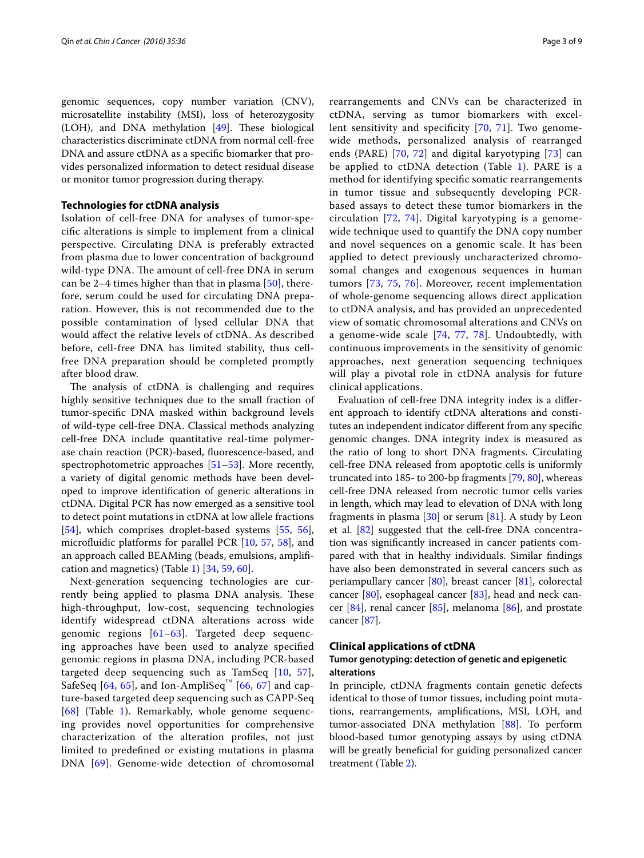genomic sequences, copy number variation (CNV), microsatellite instability (MSI), loss of heterozygosity (LOH), and DNA methylation [[49\]](#page-6-23). These biological characteristics discriminate ctDNA from normal cell-free DNA and assure ctDNA as a specific biomarker that provides personalized information to detect residual disease or monitor tumor progression during therapy.

## **Technologies for ctDNA analysis**

Isolation of cell-free DNA for analyses of tumor-specific alterations is simple to implement from a clinical perspective. Circulating DNA is preferably extracted from plasma due to lower concentration of background wild-type DNA. The amount of cell-free DNA in serum can be 2–4 times higher than that in plasma  $[50]$  $[50]$ , therefore, serum could be used for circulating DNA preparation. However, this is not recommended due to the possible contamination of lysed cellular DNA that would affect the relative levels of ctDNA. As described before, cell-free DNA has limited stability, thus cellfree DNA preparation should be completed promptly after blood draw.

The analysis of ctDNA is challenging and requires highly sensitive techniques due to the small fraction of tumor-specific DNA masked within background levels of wild-type cell-free DNA. Classical methods analyzing cell-free DNA include quantitative real-time polymerase chain reaction (PCR)-based, fluorescence-based, and spectrophotometric approaches [\[51](#page-6-25)–[53\]](#page-6-26). More recently, a variety of digital genomic methods have been developed to improve identification of generic alterations in ctDNA. Digital PCR has now emerged as a sensitive tool to detect point mutations in ctDNA at low allele fractions [[54\]](#page-6-27), which comprises droplet-based systems [\[55](#page-6-28), [56](#page-6-29)], microfluidic platforms for parallel PCR [\[10,](#page-5-8) [57](#page-6-30), [58\]](#page-6-31), and an approach called BEAMing (beads, emulsions, amplification and magnetics) (Table [1\)](#page-3-0) [[34](#page-6-9), [59,](#page-6-32) [60](#page-6-33)].

Next-generation sequencing technologies are currently being applied to plasma DNA analysis. These high-throughput, low-cost, sequencing technologies identify widespread ctDNA alterations across wide genomic regions [[61–](#page-6-34)[63\]](#page-6-35). Targeted deep sequencing approaches have been used to analyze specified genomic regions in plasma DNA, including PCR-based targeted deep sequencing such as TamSeq [[10](#page-5-8), [57\]](#page-6-30), SafeSeq [[64](#page-6-36), [65\]](#page-6-37), and Ion-AmpliSeq<sup>™</sup> [[66,](#page-7-0) [67](#page-7-1)] and capture-based targeted deep sequencing such as CAPP-Seq [[68](#page-7-2)] (Table [1\)](#page-3-0). Remarkably, whole genome sequencing provides novel opportunities for comprehensive characterization of the alteration profiles, not just limited to predefined or existing mutations in plasma DNA [\[69\]](#page-7-3). Genome-wide detection of chromosomal

rearrangements and CNVs can be characterized in ctDNA, serving as tumor biomarkers with excellent sensitivity and specificity [\[70](#page-7-4), [71](#page-7-5)]. Two genomewide methods, personalized analysis of rearranged ends (PARE) [[70](#page-7-4), [72](#page-7-6)] and digital karyotyping [[73\]](#page-7-7) can be applied to ctDNA detection (Table [1\)](#page-3-0). PARE is a method for identifying specific somatic rearrangements in tumor tissue and subsequently developing PCRbased assays to detect these tumor biomarkers in the circulation [[72](#page-7-6), [74\]](#page-7-8). Digital karyotyping is a genomewide technique used to quantify the DNA copy number and novel sequences on a genomic scale. It has been applied to detect previously uncharacterized chromosomal changes and exogenous sequences in human tumors [[73](#page-7-7), [75](#page-7-9), [76\]](#page-7-10). Moreover, recent implementation of whole-genome sequencing allows direct application to ctDNA analysis, and has provided an unprecedented view of somatic chromosomal alterations and CNVs on a genome-wide scale [[74](#page-7-8), [77](#page-7-11), [78](#page-7-12)]. Undoubtedly, with continuous improvements in the sensitivity of genomic approaches, next generation sequencing techniques will play a pivotal role in ctDNA analysis for future clinical applications.

Evaluation of cell-free DNA integrity index is a different approach to identify ctDNA alterations and constitutes an independent indicator different from any specific genomic changes. DNA integrity index is measured as the ratio of long to short DNA fragments. Circulating cell-free DNA released from apoptotic cells is uniformly truncated into 185- to 200-bp fragments [[79](#page-7-13), [80\]](#page-7-14), whereas cell-free DNA released from necrotic tumor cells varies in length, which may lead to elevation of DNA with long fragments in plasma  $[30]$  $[30]$  or serum  $[81]$ . A study by Leon et al. [\[82\]](#page-7-16) suggested that the cell-free DNA concentration was significantly increased in cancer patients compared with that in healthy individuals. Similar findings have also been demonstrated in several cancers such as periampullary cancer [\[80](#page-7-14)], breast cancer [[81\]](#page-7-15), colorectal cancer [\[80\]](#page-7-14), esophageal cancer [\[83](#page-7-17)], head and neck cancer [[84\]](#page-7-18), renal cancer [[85\]](#page-7-19), melanoma [\[86\]](#page-7-20), and prostate cancer [\[87](#page-7-21)].

## **Clinical applications of ctDNA**

## **Tumor genotyping: detection of genetic and epigenetic alterations**

In principle, ctDNA fragments contain genetic defects identical to those of tumor tissues, including point mutations, rearrangements, amplifications, MSI, LOH, and tumor-associated DNA methylation [\[88](#page-7-22)]. To perform blood-based tumor genotyping assays by using ctDNA will be greatly beneficial for guiding personalized cancer treatment (Table [2](#page-3-1)).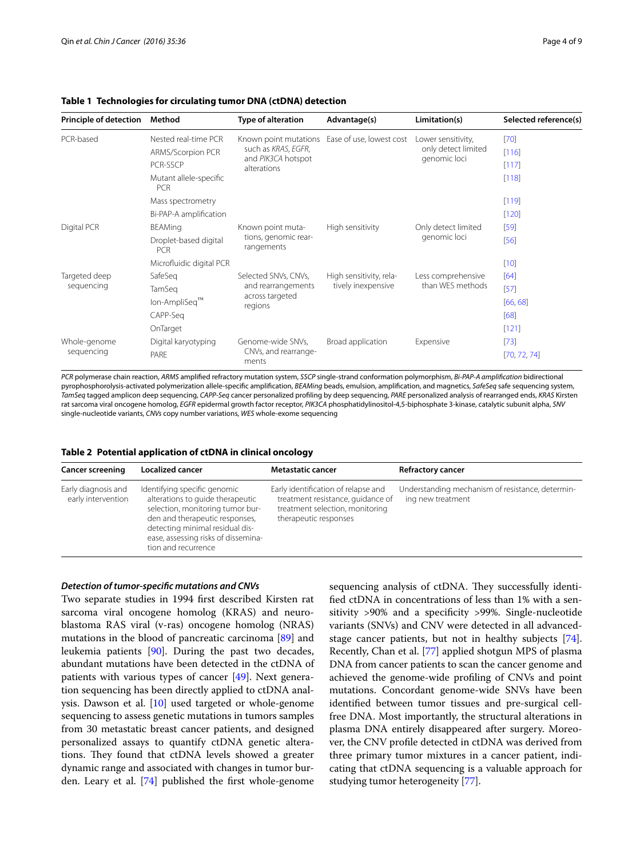### <span id="page-3-0"></span>**Table 1 Technologies for circulating tumor DNA (ctDNA) detection**

| <b>Principle of detection</b> | Method                               | Type of alteration                                                                | Advantage(s)                                  | Limitation(s)                                             | Selected reference(s) |
|-------------------------------|--------------------------------------|-----------------------------------------------------------------------------------|-----------------------------------------------|-----------------------------------------------------------|-----------------------|
| PCR-based                     | Nested real-time PCR                 | Known point mutations<br>such as KRAS, EGFR,<br>and PIK3CA hotspot<br>alterations | Ease of use, lowest cost                      | Lower sensitivity,<br>only detect limited<br>genomic loci | $[70]$                |
|                               | ARMS/Scorpion PCR                    |                                                                                   |                                               |                                                           | [116]                 |
|                               | PCR-SSCP                             |                                                                                   |                                               |                                                           | [117]                 |
|                               | Mutant allele-specific<br><b>PCR</b> |                                                                                   |                                               |                                                           | [118]                 |
|                               | Mass spectrometry                    |                                                                                   |                                               |                                                           | $[119]$               |
|                               | Bi-PAP-A amplification               |                                                                                   |                                               |                                                           | $[120]$               |
| Digital PCR                   | <b>BEAMing</b>                       | Known point muta-<br>tions, genomic rear-<br>rangements                           | High sensitivity                              | Only detect limited<br>genomic loci                       | $[59]$                |
|                               | Droplet-based digital<br><b>PCR</b>  |                                                                                   |                                               |                                                           | [56]                  |
|                               | Microfluidic digital PCR             |                                                                                   |                                               |                                                           | [10]                  |
| Targeted deep<br>sequencing   | SafeSeg                              | Selected SNVs, CNVs,<br>and rearrangements<br>across targeted<br>regions          | High sensitivity, rela-<br>tively inexpensive | Less comprehensive<br>than WES methods                    | [64]                  |
|                               | TamSeg                               |                                                                                   |                                               |                                                           | $[57]$                |
|                               | lon-AmpliSeq™                        |                                                                                   |                                               |                                                           | [66, 68]              |
|                               | CAPP-Seg                             |                                                                                   |                                               |                                                           | [68]                  |
|                               | OnTarget                             |                                                                                   |                                               |                                                           | $[121]$               |
| Whole-genome<br>sequencing    | Digital karyotyping                  | Genome-wide SNVs,                                                                 | Broad application                             | Expensive                                                 | $[73]$                |
|                               | PARE                                 | CNVs, and rearrange-<br>ments                                                     |                                               |                                                           | [70, 72, 74]          |

*PCR* polymerase chain reaction, *ARMS* amplified refractory mutation system, *SSCP* single-strand conformation polymorphism, *Bi-PAP-A amplification* bidirectional pyrophosphorolysis-activated polymerization allele-specific amplification, *BEAMing* beads, emulsion, amplification, and magnetics, *SafeSeq* safe sequencing system, *TamSeq* tagged amplicon deep sequencing, *CAPP-Seq* cancer personalized profiling by deep sequencing, *PARE* personalized analysis of rearranged ends, *KRAS* Kirsten rat sarcoma viral oncogene homolog, *EGFR* epidermal growth factor receptor, *PIK3CA* phosphatidylinositol-4,5-biphosphate 3-kinase, catalytic subunit alpha, *SNV* single-nucleotide variants, *CNVs* copy number variations, *WES* whole-exome sequencing

<span id="page-3-1"></span>

|  | Table 2 Potential application of ctDNA in clinical oncology |  |  |
|--|-------------------------------------------------------------|--|--|
|  |                                                             |  |  |

| <b>Cancer screening</b>                   | <b>Localized cancer</b>                                                                                                                                                                                                                 | <b>Metastatic cancer</b>                                                                                                             | <b>Refractory cancer</b>                                              |
|-------------------------------------------|-----------------------------------------------------------------------------------------------------------------------------------------------------------------------------------------------------------------------------------------|--------------------------------------------------------------------------------------------------------------------------------------|-----------------------------------------------------------------------|
| Early diagnosis and<br>early intervention | Identifying specific genomic<br>alterations to guide therapeutic<br>selection, monitoring tumor bur-<br>den and therapeutic responses,<br>detecting minimal residual dis-<br>ease, assessing risks of dissemina-<br>tion and recurrence | Early identification of relapse and<br>treatment resistance, guidance of<br>treatment selection, monitoring<br>therapeutic responses | Understanding mechanism of resistance, determin-<br>ing new treatment |

#### *Detection of tumor‑specific mutations and CNVs*

Two separate studies in 1994 first described Kirsten rat sarcoma viral oncogene homolog (KRAS) and neuroblastoma RAS viral (v-ras) oncogene homolog (NRAS) mutations in the blood of pancreatic carcinoma [\[89](#page-7-23)] and leukemia patients [[90](#page-7-24)]. During the past two decades, abundant mutations have been detected in the ctDNA of patients with various types of cancer [[49\]](#page-6-23). Next generation sequencing has been directly applied to ctDNA analysis. Dawson et al. [[10](#page-5-8)] used targeted or whole-genome sequencing to assess genetic mutations in tumors samples from 30 metastatic breast cancer patients, and designed personalized assays to quantify ctDNA genetic alterations. They found that ctDNA levels showed a greater dynamic range and associated with changes in tumor burden. Leary et al. [\[74\]](#page-7-8) published the first whole-genome sequencing analysis of ctDNA. They successfully identified ctDNA in concentrations of less than 1% with a sensitivity >90% and a specificity >99%. Single-nucleotide variants (SNVs) and CNV were detected in all advancedstage cancer patients, but not in healthy subjects [\[74](#page-7-8)]. Recently, Chan et al. [[77](#page-7-11)] applied shotgun MPS of plasma DNA from cancer patients to scan the cancer genome and achieved the genome-wide profiling of CNVs and point mutations. Concordant genome-wide SNVs have been identified between tumor tissues and pre-surgical cellfree DNA. Most importantly, the structural alterations in plasma DNA entirely disappeared after surgery. Moreover, the CNV profile detected in ctDNA was derived from three primary tumor mixtures in a cancer patient, indicating that ctDNA sequencing is a valuable approach for studying tumor heterogeneity [[77\]](#page-7-11).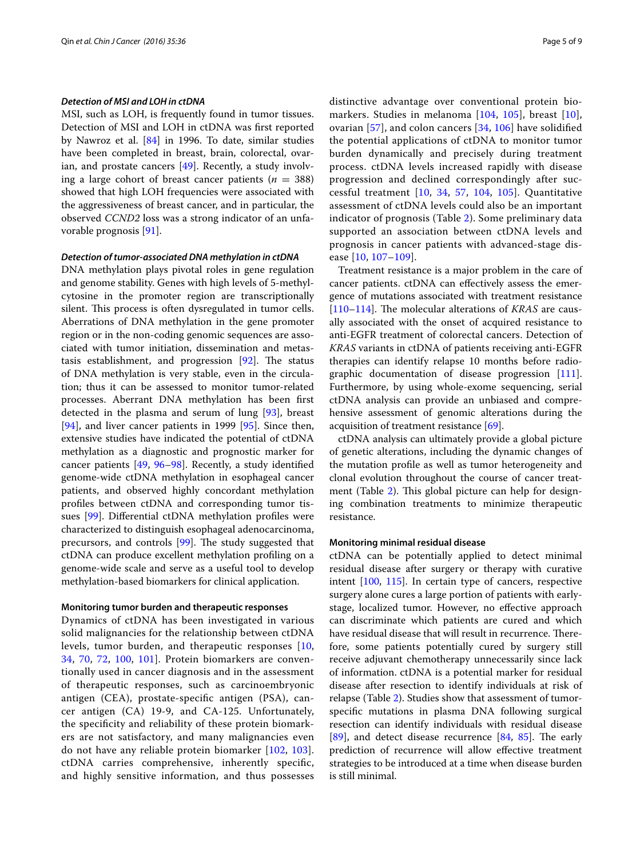#### *Detection of MSI and LOH in ctDNA*

MSI, such as LOH, is frequently found in tumor tissues. Detection of MSI and LOH in ctDNA was first reported by Nawroz et al. [\[84](#page-7-18)] in 1996. To date, similar studies have been completed in breast, brain, colorectal, ovarian, and prostate cancers [[49\]](#page-6-23). Recently, a study involving a large cohort of breast cancer patients  $(n = 388)$ showed that high LOH frequencies were associated with the aggressiveness of breast cancer, and in particular, the observed *CCND2* loss was a strong indicator of an unfavorable prognosis [\[91](#page-7-25)].

#### *Detection of tumor‑associated DNA methylation in ctDNA*

DNA methylation plays pivotal roles in gene regulation and genome stability. Genes with high levels of 5-methylcytosine in the promoter region are transcriptionally silent. This process is often dysregulated in tumor cells. Aberrations of DNA methylation in the gene promoter region or in the non-coding genomic sequences are associated with tumor initiation, dissemination and metastasis establishment, and progression [\[92](#page-7-26)]. The status of DNA methylation is very stable, even in the circulation; thus it can be assessed to monitor tumor-related processes. Aberrant DNA methylation has been first detected in the plasma and serum of lung [\[93\]](#page-7-27), breast [[94\]](#page-7-28), and liver cancer patients in 1999 [\[95\]](#page-7-29). Since then, extensive studies have indicated the potential of ctDNA methylation as a diagnostic and prognostic marker for cancer patients [[49,](#page-6-23) [96](#page-7-30)[–98](#page-7-31)]. Recently, a study identified genome-wide ctDNA methylation in esophageal cancer patients, and observed highly concordant methylation profiles between ctDNA and corresponding tumor tissues [\[99](#page-7-32)]. Differential ctDNA methylation profiles were characterized to distinguish esophageal adenocarcinoma, precursors, and controls [\[99](#page-7-32)]. The study suggested that ctDNA can produce excellent methylation profiling on a genome-wide scale and serve as a useful tool to develop methylation-based biomarkers for clinical application.

#### **Monitoring tumor burden and therapeutic responses**

Dynamics of ctDNA has been investigated in various solid malignancies for the relationship between ctDNA levels, tumor burden, and therapeutic responses [\[10](#page-5-8), [34,](#page-6-9) [70](#page-7-4), [72,](#page-7-6) [100,](#page-7-33) [101](#page-7-34)]. Protein biomarkers are conventionally used in cancer diagnosis and in the assessment of therapeutic responses, such as carcinoembryonic antigen (CEA), prostate-specific antigen (PSA), cancer antigen (CA) 19-9, and CA-125. Unfortunately, the specificity and reliability of these protein biomarkers are not satisfactory, and many malignancies even do not have any reliable protein biomarker [[102,](#page-7-35) [103\]](#page-7-36). ctDNA carries comprehensive, inherently specific, and highly sensitive information, and thus possesses distinctive advantage over conventional protein biomarkers. Studies in melanoma [[104,](#page-8-6) [105](#page-8-7)], breast [[10](#page-5-8)], ovarian [\[57](#page-6-30)], and colon cancers [\[34](#page-6-9), [106](#page-8-8)] have solidified the potential applications of ctDNA to monitor tumor burden dynamically and precisely during treatment process. ctDNA levels increased rapidly with disease progression and declined correspondingly after successful treatment [\[10](#page-5-8), [34](#page-6-9), [57](#page-6-30), [104](#page-8-6), [105](#page-8-7)]. Quantitative assessment of ctDNA levels could also be an important indicator of prognosis (Table [2](#page-3-1)). Some preliminary data supported an association between ctDNA levels and prognosis in cancer patients with advanced-stage disease [[10,](#page-5-8) [107–](#page-8-9)[109\]](#page-8-10).

Treatment resistance is a major problem in the care of cancer patients. ctDNA can effectively assess the emergence of mutations associated with treatment resistance [[110–](#page-8-11)[114](#page-8-12)]. The molecular alterations of *KRAS* are causally associated with the onset of acquired resistance to anti-EGFR treatment of colorectal cancers. Detection of *KRAS* variants in ctDNA of patients receiving anti-EGFR therapies can identify relapse 10 months before radiographic documentation of disease progression [\[111](#page-8-13)]. Furthermore, by using whole-exome sequencing, serial ctDNA analysis can provide an unbiased and comprehensive assessment of genomic alterations during the acquisition of treatment resistance [\[69\]](#page-7-3).

ctDNA analysis can ultimately provide a global picture of genetic alterations, including the dynamic changes of the mutation profile as well as tumor heterogeneity and clonal evolution throughout the course of cancer treatment (Table [2\)](#page-3-1). This global picture can help for designing combination treatments to minimize therapeutic resistance.

#### **Monitoring minimal residual disease**

ctDNA can be potentially applied to detect minimal residual disease after surgery or therapy with curative intent [\[100,](#page-7-33) [115\]](#page-8-14). In certain type of cancers, respective surgery alone cures a large portion of patients with earlystage, localized tumor. However, no effective approach can discriminate which patients are cured and which have residual disease that will result in recurrence. Therefore, some patients potentially cured by surgery still receive adjuvant chemotherapy unnecessarily since lack of information. ctDNA is a potential marker for residual disease after resection to identify individuals at risk of relapse (Table [2\)](#page-3-1). Studies show that assessment of tumorspecific mutations in plasma DNA following surgical resection can identify individuals with residual disease [[89\]](#page-7-23), and detect disease recurrence [[84,](#page-7-18) [85](#page-7-19)]. The early prediction of recurrence will allow effective treatment strategies to be introduced at a time when disease burden is still minimal.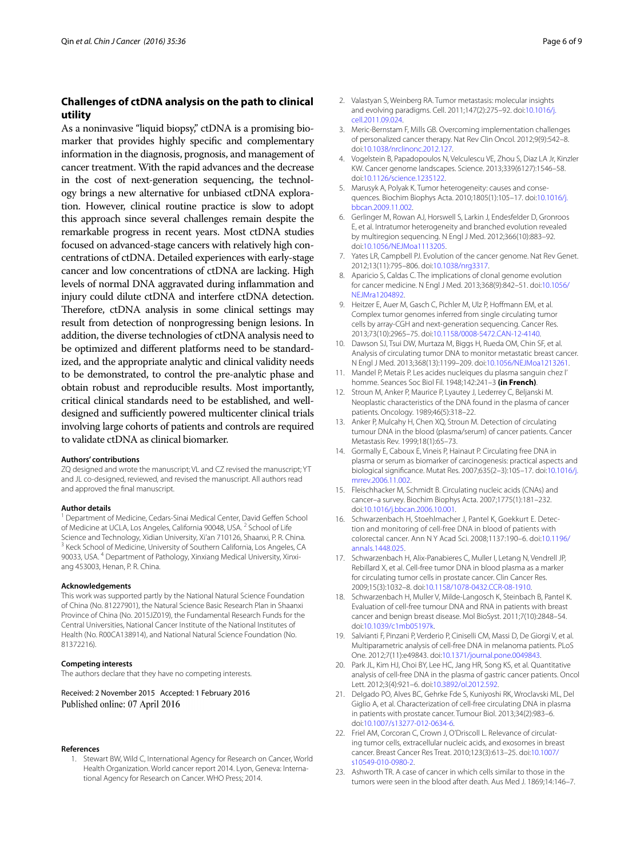## **Challenges of ctDNA analysis on the path to clinical utility**

As a noninvasive "liquid biopsy," ctDNA is a promising biomarker that provides highly specific and complementary information in the diagnosis, prognosis, and management of cancer treatment. With the rapid advances and the decrease in the cost of next-generation sequencing, the technology brings a new alternative for unbiased ctDNA exploration. However, clinical routine practice is slow to adopt this approach since several challenges remain despite the remarkable progress in recent years. Most ctDNA studies focused on advanced-stage cancers with relatively high concentrations of ctDNA. Detailed experiences with early-stage cancer and low concentrations of ctDNA are lacking. High levels of normal DNA aggravated during inflammation and injury could dilute ctDNA and interfere ctDNA detection. Therefore, ctDNA analysis in some clinical settings may result from detection of nonprogressing benign lesions. In addition, the diverse technologies of ctDNA analysis need to be optimized and different platforms need to be standardized, and the appropriate analytic and clinical validity needs to be demonstrated, to control the pre-analytic phase and obtain robust and reproducible results. Most importantly, critical clinical standards need to be established, and welldesigned and sufficiently powered multicenter clinical trials involving large cohorts of patients and controls are required to validate ctDNA as clinical biomarker.

#### **Authors' contributions**

ZQ designed and wrote the manuscript; VL and CZ revised the manuscript; YT and JL co-designed, reviewed, and revised the manuscript. All authors read and approved the final manuscript.

#### **Author details**

<sup>1</sup> Department of Medicine, Cedars-Sinai Medical Center, David Geffen School of Medicine at UCLA, Los Angeles, California 90048, USA.<sup>2</sup> School of Life Science and Technology, Xidian University, Xi'an 710126, Shaanxi, P. R. China.<br><sup>3</sup> Keck School of Medicine, University of Southern California, Los Angeles, CA 90033, USA. <sup>4</sup> Department of Pathology, Xinxiang Medical University, Xinxiang 453003, Henan, P. R. China.

#### **Acknowledgements**

This work was supported partly by the National Natural Science Foundation of China (No. 81227901), the Natural Science Basic Research Plan in Shaanxi Province of China (No. 2015JZ019), the Fundamental Research Funds for the Central Universities, National Cancer Institute of the National Institutes of Health (No. R00CA138914), and National Natural Science Foundation (No. 81372216).

#### **Competing interests**

The authors declare that they have no competing interests.

Received: 2 November 2015 Accepted: 1 February 2016 Published online: 07 April 2016

#### <span id="page-5-0"></span>**References**

1. Stewart BW, Wild C, International Agency for Research on Cancer, World Health Organization. World cancer report 2014. Lyon, Geneva: International Agency for Research on Cancer. WHO Press; 2014.

- <span id="page-5-1"></span>2. Valastyan S, Weinberg RA. Tumor metastasis: molecular insights and evolving paradigms. Cell. 2011;147(2):275–92. doi[:10.1016/j.](http://dx.doi.org/10.1016/j.cell.2011.09.024) [cell.2011.09.024](http://dx.doi.org/10.1016/j.cell.2011.09.024).
- <span id="page-5-2"></span>3. Meric-Bernstam F, Mills GB. Overcoming implementation challenges of personalized cancer therapy. Nat Rev Clin Oncol. 2012;9(9):542–8. doi[:10.1038/nrclinonc.2012.127](http://dx.doi.org/10.1038/nrclinonc.2012.127).
- <span id="page-5-3"></span>4. Vogelstein B, Papadopoulos N, Velculescu VE, Zhou S, Diaz LA Jr, Kinzler KW. Cancer genome landscapes. Science. 2013;339(6127):1546–58. doi[:10.1126/science.1235122](http://dx.doi.org/10.1126/science.1235122).
- <span id="page-5-4"></span>5. Marusyk A, Polyak K. Tumor heterogeneity: causes and consequences. Biochim Biophys Acta. 2010;1805(1):105–17. doi:[10.1016/j.](http://dx.doi.org/10.1016/j.bbcan.2009.11.002) [bbcan.2009.11.002](http://dx.doi.org/10.1016/j.bbcan.2009.11.002).
- <span id="page-5-5"></span>6. Gerlinger M, Rowan AJ, Horswell S, Larkin J, Endesfelder D, Gronroos E, et al. Intratumor heterogeneity and branched evolution revealed by multiregion sequencing. N Engl J Med. 2012;366(10):883–92. doi[:10.1056/NEJMoa1113205.](http://dx.doi.org/10.1056/NEJMoa1113205)
- 7. Yates LR, Campbell PJ. Evolution of the cancer genome. Nat Rev Genet. 2012;13(11):795–806. doi:[10.1038/nrg3317](http://dx.doi.org/10.1038/nrg3317).
- <span id="page-5-6"></span>8. Aparicio S, Caldas C. The implications of clonal genome evolution for cancer medicine. N Engl J Med. 2013;368(9):842–51. doi[:10.1056/](http://dx.doi.org/10.1056/NEJMra1204892) [NEJMra1204892](http://dx.doi.org/10.1056/NEJMra1204892).
- <span id="page-5-7"></span>9. Heitzer E, Auer M, Gasch C, Pichler M, Ulz P, Hoffmann EM, et al. Complex tumor genomes inferred from single circulating tumor cells by array-CGH and next-generation sequencing. Cancer Res. 2013;73(10):2965–75. doi:[10.1158/0008-5472.CAN-12-4140](http://dx.doi.org/10.1158/0008-5472.CAN-12-4140).
- <span id="page-5-8"></span>10. Dawson SJ, Tsui DW, Murtaza M, Biggs H, Rueda OM, Chin SF, et al. Analysis of circulating tumor DNA to monitor metastatic breast cancer. N Engl J Med. 2013;368(13):1199–209. doi[:10.1056/NEJMoa1213261.](http://dx.doi.org/10.1056/NEJMoa1213261)
- <span id="page-5-9"></span>11. Mandel P, Metais P. Les acides nucleiques du plasma sanguin chez l' homme. Seances Soc Biol Fil. 1948;142:241–3 **(in French)**.
- <span id="page-5-10"></span>12. Stroun M, Anker P, Maurice P, Lyautey J, Lederrey C, Beljanski M. Neoplastic characteristics of the DNA found in the plasma of cancer patients. Oncology. 1989;46(5):318–22.
- 13. Anker P, Mulcahy H, Chen XQ, Stroun M. Detection of circulating tumour DNA in the blood (plasma/serum) of cancer patients. Cancer Metastasis Rev. 1999;18(1):65–73.
- 14. Gormally E, Caboux E, Vineis P, Hainaut P. Circulating free DNA in plasma or serum as biomarker of carcinogenesis: practical aspects and biological significance. Mutat Res. 2007;635(2–3):105–17. doi[:10.1016/j.](http://dx.doi.org/10.1016/j.mrrev.2006.11.002) [mrrev.2006.11.002](http://dx.doi.org/10.1016/j.mrrev.2006.11.002).
- 15. Fleischhacker M, Schmidt B. Circulating nucleic acids (CNAs) and cancer–a survey. Biochim Biophys Acta. 2007;1775(1):181–232. doi[:10.1016/j.bbcan.2006.10.001.](http://dx.doi.org/10.1016/j.bbcan.2006.10.001)
- 16. Schwarzenbach H, Stoehlmacher J, Pantel K, Goekkurt E. Detection and monitoring of cell-free DNA in blood of patients with colorectal cancer. Ann N Y Acad Sci. 2008;1137:190–6. doi[:10.1196/](http://dx.doi.org/10.1196/annals.1448.025) [annals.1448.025.](http://dx.doi.org/10.1196/annals.1448.025)
- 17. Schwarzenbach H, Alix-Panabieres C, Muller I, Letang N, Vendrell JP, Rebillard X, et al. Cell-free tumor DNA in blood plasma as a marker for circulating tumor cells in prostate cancer. Clin Cancer Res. 2009;15(3):1032–8. doi[:10.1158/1078-0432.CCR-08-1910.](http://dx.doi.org/10.1158/1078-0432.CCR-08-1910)
- 18. Schwarzenbach H, Muller V, Milde-Langosch K, Steinbach B, Pantel K. Evaluation of cell-free tumour DNA and RNA in patients with breast cancer and benign breast disease. Mol BioSyst. 2011;7(10):2848–54. doi[:10.1039/c1mb05197k](http://dx.doi.org/10.1039/c1mb05197k).
- 19. Salvianti F, Pinzani P, Verderio P, Ciniselli CM, Massi D, De Giorgi V, et al. Multiparametric analysis of cell-free DNA in melanoma patients. PLoS One. 2012;7(11):e49843. doi:[10.1371/journal.pone.0049843](http://dx.doi.org/10.1371/journal.pone.0049843).
- 20. Park JL, Kim HJ, Choi BY, Lee HC, Jang HR, Song KS, et al. Quantitative analysis of cell-free DNA in the plasma of gastric cancer patients. Oncol Lett. 2012;3(4):921–6. doi:[10.3892/ol.2012.592](http://dx.doi.org/10.3892/ol.2012.592).
- <span id="page-5-11"></span>21. Delgado PO, Alves BC, Gehrke Fde S, Kuniyoshi RK, Wroclavski ML, Del Giglio A, et al. Characterization of cell-free circulating DNA in plasma in patients with prostate cancer. Tumour Biol. 2013;34(2):983–6. doi[:10.1007/s13277-012-0634-6](http://dx.doi.org/10.1007/s13277-012-0634-6).
- <span id="page-5-12"></span>22. Friel AM, Corcoran C, Crown J, O'Driscoll L. Relevance of circulating tumor cells, extracellular nucleic acids, and exosomes in breast cancer. Breast Cancer Res Treat. 2010;123(3):613–25. doi[:10.1007/](http://dx.doi.org/10.1007/s10549-010-0980-2) [s10549-010-0980-2](http://dx.doi.org/10.1007/s10549-010-0980-2).
- <span id="page-5-13"></span>23. Ashworth TR. A case of cancer in which cells similar to those in the tumors were seen in the blood after death. Aus Med J. 1869;14:146–7.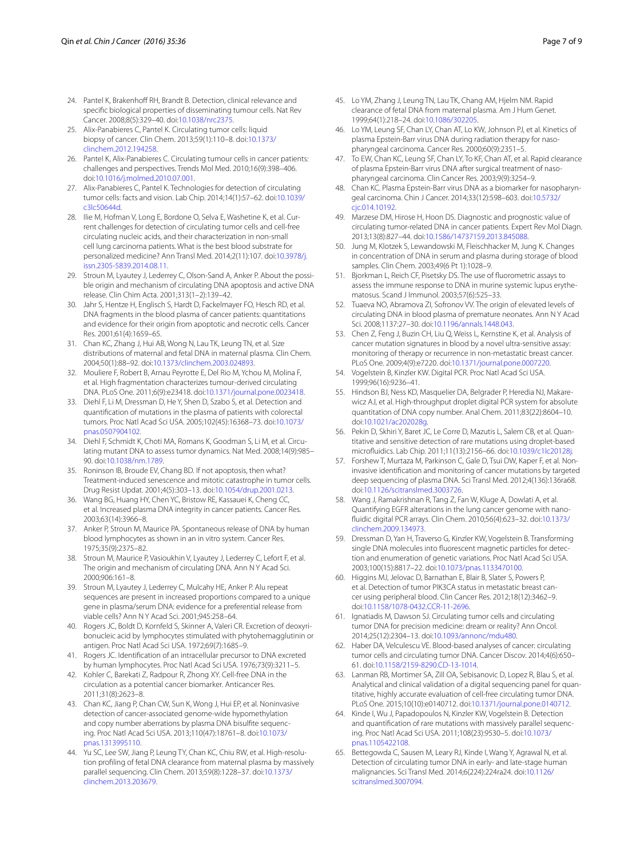- <span id="page-6-0"></span>24. Pantel K, Brakenhoff RH, Brandt B, Detection, clinical relevance and specific biological properties of disseminating tumour cells. Nat Rev Cancer. 2008;8(5):329–40. doi[:10.1038/nrc2375](http://dx.doi.org/10.1038/nrc2375).
- <span id="page-6-1"></span>25. Alix-Panabieres C, Pantel K. Circulating tumor cells: liquid biopsy of cancer. Clin Chem. 2013;59(1):110–8. doi[:10.1373/](http://dx.doi.org/10.1373/clinchem.2012.194258) [clinchem.2012.194258.](http://dx.doi.org/10.1373/clinchem.2012.194258)
- <span id="page-6-2"></span>26. Pantel K, Alix-Panabieres C. Circulating tumour cells in cancer patients: challenges and perspectives. Trends Mol Med. 2010;16(9):398–406. doi[:10.1016/j.molmed.2010.07.001](http://dx.doi.org/10.1016/j.molmed.2010.07.001).
- <span id="page-6-3"></span>27. Alix-Panabieres C, Pantel K. Technologies for detection of circulating tumor cells: facts and vision. Lab Chip. 2014;14(1):57–62. doi[:10.1039/](http://dx.doi.org/10.1039/c3lc50644d) [c3lc50644d](http://dx.doi.org/10.1039/c3lc50644d).
- <span id="page-6-4"></span>28. Ilie M, Hofman V, Long E, Bordone O, Selva E, Washetine K, et al. Current challenges for detection of circulating tumor cells and cell-free circulating nucleic acids, and their characterization in non-small cell lung carcinoma patients. What is the best blood substrate for personalized medicine? Ann Transl Med. 2014;2(11):107. doi:[10.3978/j.](http://dx.doi.org/10.3978/j.issn.2305-5839.2014.08.11) [issn.2305-5839.2014.08.11](http://dx.doi.org/10.3978/j.issn.2305-5839.2014.08.11).
- <span id="page-6-5"></span>29. Stroun M, Lyautey J, Lederrey C, Olson-Sand A, Anker P. About the possible origin and mechanism of circulating DNA apoptosis and active DNA release. Clin Chim Acta. 2001;313(1–2):139–42.
- <span id="page-6-6"></span>30. Jahr S, Hentze H, Englisch S, Hardt D, Fackelmayer FO, Hesch RD, et al. DNA fragments in the blood plasma of cancer patients: quantitations and evidence for their origin from apoptotic and necrotic cells. Cancer Res. 2001;61(4):1659–65.
- 31. Chan KC, Zhang J, Hui AB, Wong N, Lau TK, Leung TN, et al. Size distributions of maternal and fetal DNA in maternal plasma. Clin Chem. 2004;50(1):88–92. doi:[10.1373/clinchem.2003.024893](http://dx.doi.org/10.1373/clinchem.2003.024893).
- <span id="page-6-7"></span>32. Mouliere F, Robert B, Arnau Peyrotte E, Del Rio M, Ychou M, Molina F, et al. High fragmentation characterizes tumour-derived circulating DNA. PLoS One. 2011;6(9):e23418. doi[:10.1371/journal.pone.0023418.](http://dx.doi.org/10.1371/journal.pone.0023418)
- <span id="page-6-8"></span>33. Diehl F, Li M, Dressman D, He Y, Shen D, Szabo S, et al. Detection and quantification of mutations in the plasma of patients with colorectal tumors. Proc Natl Acad Sci USA. 2005;102(45):16368–73. doi[:10.1073/](http://dx.doi.org/10.1073/pnas.0507904102) [pnas.0507904102](http://dx.doi.org/10.1073/pnas.0507904102).
- <span id="page-6-9"></span>34. Diehl F, Schmidt K, Choti MA, Romans K, Goodman S, Li M, et al. Circulating mutant DNA to assess tumor dynamics. Nat Med. 2008;14(9):985– 90. doi[:10.1038/nm.1789](http://dx.doi.org/10.1038/nm.1789).
- <span id="page-6-10"></span>35. Roninson IB, Broude EV, Chang BD. If not apoptosis, then what? Treatment-induced senescence and mitotic catastrophe in tumor cells. Drug Resist Updat. 2001;4(5):303–13. doi:[10.1054/drup.2001.0213.](http://dx.doi.org/10.1054/drup.2001.0213)
- <span id="page-6-11"></span>36. Wang BG, Huang HY, Chen YC, Bristow RE, Kassauei K, Cheng CC, et al. Increased plasma DNA integrity in cancer patients. Cancer Res. 2003;63(14):3966–8.
- <span id="page-6-12"></span>37. Anker P, Stroun M, Maurice PA. Spontaneous release of DNA by human blood lymphocytes as shown in an in vitro system. Cancer Res. 1975;35(9):2375–82.
- <span id="page-6-14"></span>38. Stroun M, Maurice P, Vasioukhin V, Lyautey J, Lederrey C, Lefort F, et al. The origin and mechanism of circulating DNA. Ann N Y Acad Sci. 2000;906:161–8.
- <span id="page-6-13"></span>39. Stroun M, Lyautey J, Lederrey C, Mulcahy HE, Anker P. Alu repeat sequences are present in increased proportions compared to a unique gene in plasma/serum DNA: evidence for a preferential release from viable cells? Ann N Y Acad Sci. 2001;945:258–64.
- <span id="page-6-15"></span>40. Rogers JC, Boldt D, Kornfeld S, Skinner A, Valeri CR. Excretion of deoxyribonucleic acid by lymphocytes stimulated with phytohemagglutinin or antigen. Proc Natl Acad Sci USA. 1972;69(7):1685–9.
- <span id="page-6-16"></span>41. Rogers JC. Identification of an intracellular precursor to DNA excreted by human lymphocytes. Proc Natl Acad Sci USA. 1976;73(9):3211–5.
- <span id="page-6-17"></span>42. Kohler C, Barekati Z, Radpour R, Zhong XY. Cell-free DNA in the circulation as a potential cancer biomarker. Anticancer Res. 2011;31(8):2623–8.
- <span id="page-6-18"></span>43. Chan KC, Jiang P, Chan CW, Sun K, Wong J, Hui EP, et al. Noninvasive detection of cancer-associated genome-wide hypomethylation and copy number aberrations by plasma DNA bisulfite sequencing. Proc Natl Acad Sci USA. 2013;110(47):18761–8. doi:[10.1073/](http://dx.doi.org/10.1073/pnas.1313995110) [pnas.1313995110](http://dx.doi.org/10.1073/pnas.1313995110).
- <span id="page-6-19"></span>44. Yu SC, Lee SW, Jiang P, Leung TY, Chan KC, Chiu RW, et al. High-resolution profiling of fetal DNA clearance from maternal plasma by massively parallel sequencing. Clin Chem. 2013;59(8):1228–37. doi[:10.1373/](http://dx.doi.org/10.1373/clinchem.2013.203679) [clinchem.2013.203679](http://dx.doi.org/10.1373/clinchem.2013.203679).
- <span id="page-6-20"></span>45. Lo YM, Zhang J, Leung TN, Lau TK, Chang AM, Hjelm NM. Rapid clearance of fetal DNA from maternal plasma. Am J Hum Genet. 1999;64(1):218–24. doi[:10.1086/302205](http://dx.doi.org/10.1086/302205).
- <span id="page-6-21"></span>46. Lo YM, Leung SF, Chan LY, Chan AT, Lo KW, Johnson PJ, et al. Kinetics of plasma Epstein-Barr virus DNA during radiation therapy for nasopharyngeal carcinoma. Cancer Res. 2000;60(9):2351–5.
- 47. To EW, Chan KC, Leung SF, Chan LY, To KF, Chan AT, et al. Rapid clearance of plasma Epstein-Barr virus DNA after surgical treatment of nasopharyngeal carcinoma. Clin Cancer Res. 2003;9(9):3254–9.
- <span id="page-6-22"></span>48. Chan KC. Plasma Epstein-Barr virus DNA as a biomarker for nasopharyngeal carcinoma. Chin J Cancer. 2014;33(12):598–603. doi:[10.5732/](http://dx.doi.org/10.5732/cjc.014.10192) [cjc.014.10192](http://dx.doi.org/10.5732/cjc.014.10192).
- <span id="page-6-23"></span>49. Marzese DM, Hirose H, Hoon DS. Diagnostic and prognostic value of circulating tumor-related DNA in cancer patients. Expert Rev Mol Diagn. 2013;13(8):827–44. doi[:10.1586/14737159.2013.845088.](http://dx.doi.org/10.1586/14737159.2013.845088)
- <span id="page-6-24"></span>50. Jung M, Klotzek S, Lewandowski M, Fleischhacker M, Jung K. Changes in concentration of DNA in serum and plasma during storage of blood samples. Clin Chem. 2003;49(6 Pt 1):1028–9.
- <span id="page-6-25"></span>51. Bjorkman L, Reich CF, Pisetsky DS. The use of fluorometric assays to assess the immune response to DNA in murine systemic lupus erythematosus. Scand J Immunol. 2003;57(6):525–33.
- 52. Tuaeva NO, Abramova ZI, Sofronov VV. The origin of elevated levels of circulating DNA in blood plasma of premature neonates. Ann N Y Acad Sci. 2008;1137:27–30. doi:[10.1196/annals.1448.043](http://dx.doi.org/10.1196/annals.1448.043).
- <span id="page-6-26"></span>53. Chen Z, Feng J, Buzin CH, Liu Q, Weiss L, Kernstine K, et al. Analysis of cancer mutation signatures in blood by a novel ultra-sensitive assay: monitoring of therapy or recurrence in non-metastatic breast cancer. PLoS One. 2009;4(9):e7220. doi:[10.1371/journal.pone.0007220](http://dx.doi.org/10.1371/journal.pone.0007220).
- <span id="page-6-27"></span>54. Vogelstein B, Kinzler KW. Digital PCR. Proc Natl Acad Sci USA. 1999;96(16):9236–41.
- <span id="page-6-28"></span>55. Hindson BJ, Ness KD, Masquelier DA, Belgrader P, Heredia NJ, Makarewicz AJ, et al. High-throughput droplet digital PCR system for absolute quantitation of DNA copy number. Anal Chem. 2011;83(22):8604–10. doi[:10.1021/ac202028g.](http://dx.doi.org/10.1021/ac202028g)
- <span id="page-6-29"></span>56. Pekin D, Skhiri Y, Baret JC, Le Corre D, Mazutis L, Salem CB, et al. Quantitative and sensitive detection of rare mutations using droplet-based microfluidics. Lab Chip. 2011;11(13):2156–66. doi[:10.1039/c1lc20128j.](http://dx.doi.org/10.1039/c1lc20128j)
- <span id="page-6-30"></span>57. Forshew T, Murtaza M, Parkinson C, Gale D, Tsui DW, Kaper F, et al. Noninvasive identification and monitoring of cancer mutations by targeted deep sequencing of plasma DNA. Sci Transl Med. 2012;4(136):136ra68. doi[:10.1126/scitranslmed.3003726](http://dx.doi.org/10.1126/scitranslmed.3003726).
- <span id="page-6-31"></span>58. Wang J, Ramakrishnan R, Tang Z, Fan W, Kluge A, Dowlati A, et al. Quantifying EGFR alterations in the lung cancer genome with nanofluidic digital PCR arrays. Clin Chem. 2010;56(4):623–32. doi[:10.1373/](http://dx.doi.org/10.1373/clinchem.2009.134973) [clinchem.2009.134973](http://dx.doi.org/10.1373/clinchem.2009.134973).
- <span id="page-6-32"></span>59. Dressman D, Yan H, Traverso G, Kinzler KW, Vogelstein B. Transforming single DNA molecules into fluorescent magnetic particles for detection and enumeration of genetic variations. Proc Natl Acad Sci USA. 2003;100(15):8817–22. doi[:10.1073/pnas.1133470100](http://dx.doi.org/10.1073/pnas.1133470100).
- <span id="page-6-33"></span>60. Higgins MJ, Jelovac D, Barnathan E, Blair B, Slater S, Powers P, et al. Detection of tumor PIK3CA status in metastatic breast cancer using peripheral blood. Clin Cancer Res. 2012;18(12):3462–9. doi[:10.1158/1078-0432.CCR-11-2696.](http://dx.doi.org/10.1158/1078-0432.CCR-11-2696)
- <span id="page-6-34"></span>61. Ignatiadis M, Dawson SJ. Circulating tumor cells and circulating tumor DNA for precision medicine: dream or reality? Ann Oncol. 2014;25(12):2304–13. doi:[10.1093/annonc/mdu480](http://dx.doi.org/10.1093/annonc/mdu480).
- 62. Haber DA, Velculescu VE. Blood-based analyses of cancer: circulating tumor cells and circulating tumor DNA. Cancer Discov. 2014;4(6):650– 61. doi[:10.1158/2159-8290.CD-13-1014](http://dx.doi.org/10.1158/2159-8290.CD-13-1014).
- <span id="page-6-35"></span>Lanman RB, Mortimer SA, Zill OA, Sebisanovic D, Lopez R, Blau S, et al. Analytical and clinical validation of a digital sequencing panel for quantitative, highly accurate evaluation of cell-free circulating tumor DNA. PLoS One. 2015;10(10):e0140712. doi[:10.1371/journal.pone.0140712.](http://dx.doi.org/10.1371/journal.pone.0140712)
- <span id="page-6-36"></span>64. Kinde I, Wu J, Papadopoulos N, Kinzler KW, Vogelstein B. Detection and quantification of rare mutations with massively parallel sequencing. Proc Natl Acad Sci USA. 2011;108(23):9530–5. doi[:10.1073/](http://dx.doi.org/10.1073/pnas.1105422108) [pnas.1105422108](http://dx.doi.org/10.1073/pnas.1105422108).
- <span id="page-6-37"></span>65. Bettegowda C, Sausen M, Leary RJ, Kinde I, Wang Y, Agrawal N, et al. Detection of circulating tumor DNA in early- and late-stage human malignancies. Sci Transl Med. 2014;6(224):224ra24. doi[:10.1126/](http://dx.doi.org/10.1126/scitranslmed.3007094) [scitranslmed.3007094](http://dx.doi.org/10.1126/scitranslmed.3007094).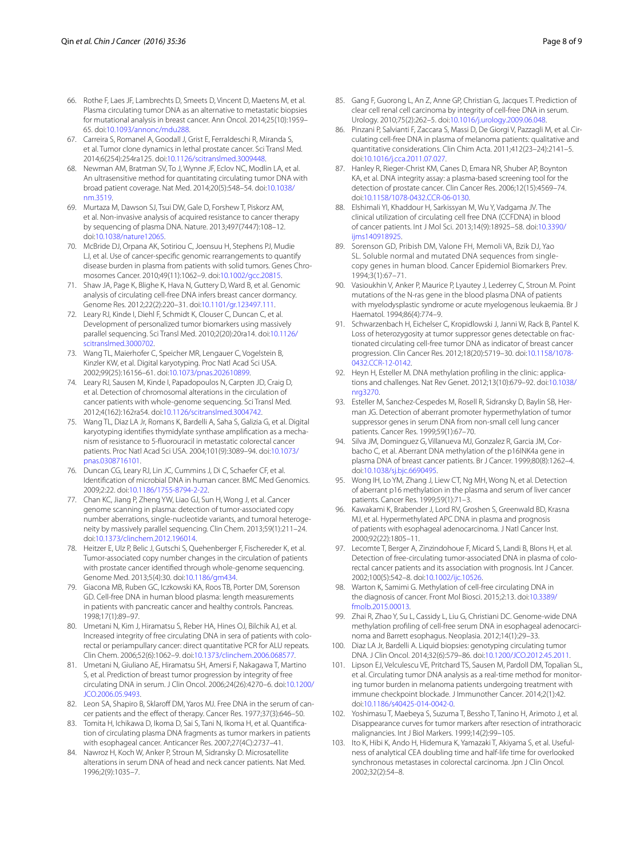- <span id="page-7-0"></span>66. Rothe F, Laes JF, Lambrechts D, Smeets D, Vincent D, Maetens M, et al. Plasma circulating tumor DNA as an alternative to metastatic biopsies for mutational analysis in breast cancer. Ann Oncol. 2014;25(10):1959– 65. doi[:10.1093/annonc/mdu288.](http://dx.doi.org/10.1093/annonc/mdu288)
- <span id="page-7-1"></span>67. Carreira S, Romanel A, Goodall J, Grist E, Ferraldeschi R, Miranda S, et al. Tumor clone dynamics in lethal prostate cancer. Sci Transl Med. 2014;6(254):254ra125. doi:[10.1126/scitranslmed.3009448](http://dx.doi.org/10.1126/scitranslmed.3009448).
- <span id="page-7-2"></span>68. Newman AM, Bratman SV, To J, Wynne JF, Eclov NC, Modlin LA, et al. An ultrasensitive method for quantitating circulating tumor DNA with broad patient coverage. Nat Med. 2014;20(5):548–54. doi:[10.1038/](http://dx.doi.org/10.1038/nm.3519) [nm.3519](http://dx.doi.org/10.1038/nm.3519).
- <span id="page-7-3"></span>69. Murtaza M, Dawson SJ, Tsui DW, Gale D, Forshew T, Piskorz AM, et al. Non-invasive analysis of acquired resistance to cancer therapy by sequencing of plasma DNA. Nature. 2013;497(7447):108–12. doi[:10.1038/nature12065.](http://dx.doi.org/10.1038/nature12065)
- <span id="page-7-4"></span>70. McBride DJ, Orpana AK, Sotiriou C, Joensuu H, Stephens PJ, Mudie LJ, et al. Use of cancer-specific genomic rearrangements to quantify disease burden in plasma from patients with solid tumors. Genes Chromosomes Cancer. 2010;49(11):1062–9. doi:[10.1002/gcc.20815.](http://dx.doi.org/10.1002/gcc.20815)
- <span id="page-7-5"></span>71. Shaw JA, Page K, Blighe K, Hava N, Guttery D, Ward B, et al. Genomic analysis of circulating cell-free DNA infers breast cancer dormancy. Genome Res. 2012;22(2):220–31. doi[:10.1101/gr.123497.111.](http://dx.doi.org/10.1101/gr.123497.111)
- <span id="page-7-6"></span>72. Leary RJ, Kinde I, Diehl F, Schmidt K, Clouser C, Duncan C, et al. Development of personalized tumor biomarkers using massively parallel sequencing. Sci Transl Med. 2010;2(20):20ra14. doi:[10.1126/](http://dx.doi.org/10.1126/scitranslmed.3000702) [scitranslmed.3000702.](http://dx.doi.org/10.1126/scitranslmed.3000702)
- <span id="page-7-7"></span>73. Wang TL, Maierhofer C, Speicher MR, Lengauer C, Vogelstein B, Kinzler KW, et al. Digital karyotyping. Proc Natl Acad Sci USA. 2002;99(25):16156–61. doi[:10.1073/pnas.202610899.](http://dx.doi.org/10.1073/pnas.202610899)
- <span id="page-7-8"></span>74. Leary RJ, Sausen M, Kinde I, Papadopoulos N, Carpten JD, Craig D, et al. Detection of chromosomal alterations in the circulation of cancer patients with whole-genome sequencing. Sci Transl Med. 2012;4(162):162ra54. doi:[10.1126/scitranslmed.3004742.](http://dx.doi.org/10.1126/scitranslmed.3004742)
- <span id="page-7-9"></span>75. Wang TL, Diaz LA Jr, Romans K, Bardelli A, Saha S, Galizia G, et al. Digital karyotyping identifies thymidylate synthase amplification as a mechanism of resistance to 5-fluorouracil in metastatic colorectal cancer patients. Proc Natl Acad Sci USA. 2004;101(9):3089–94. doi:[10.1073/](http://dx.doi.org/10.1073/pnas.0308716101) [pnas.0308716101](http://dx.doi.org/10.1073/pnas.0308716101).
- <span id="page-7-10"></span>76. Duncan CG, Leary RJ, Lin JC, Cummins J, Di C, Schaefer CF, et al. Identification of microbial DNA in human cancer. BMC Med Genomics. 2009;2:22. doi[:10.1186/1755-8794-2-22](http://dx.doi.org/10.1186/1755-8794-2-22).
- <span id="page-7-11"></span>77. Chan KC, Jiang P, Zheng YW, Liao GJ, Sun H, Wong J, et al. Cancer genome scanning in plasma: detection of tumor-associated copy number aberrations, single-nucleotide variants, and tumoral heterogeneity by massively parallel sequencing. Clin Chem. 2013;59(1):211–24. doi[:10.1373/clinchem.2012.196014.](http://dx.doi.org/10.1373/clinchem.2012.196014)
- <span id="page-7-12"></span>78. Heitzer E, Ulz P, Belic J, Gutschi S, Quehenberger F, Fischereder K, et al. Tumor-associated copy number changes in the circulation of patients with prostate cancer identified through whole-genome sequencing. Genome Med. 2013;5(4):30. doi[:10.1186/gm434](http://dx.doi.org/10.1186/gm434).
- <span id="page-7-13"></span>79. Giacona MB, Ruben GC, Iczkowski KA, Roos TB, Porter DM, Sorenson GD. Cell-free DNA in human blood plasma: length measurements in patients with pancreatic cancer and healthy controls. Pancreas. 1998;17(1):89–97.
- <span id="page-7-14"></span>80. Umetani N, Kim J, Hiramatsu S, Reber HA, Hines OJ, Bilchik AJ, et al. Increased integrity of free circulating DNA in sera of patients with colorectal or periampullary cancer: direct quantitative PCR for ALU repeats. Clin Chem. 2006;52(6):1062–9. doi[:10.1373/clinchem.2006.068577](http://dx.doi.org/10.1373/clinchem.2006.068577).
- <span id="page-7-15"></span>81. Umetani N, Giuliano AE, Hiramatsu SH, Amersi F, Nakagawa T, Martino S, et al. Prediction of breast tumor progression by integrity of free circulating DNA in serum. J Clin Oncol. 2006;24(26):4270–6. doi:[10.1200/](http://dx.doi.org/10.1200/JCO.2006.05.9493) [JCO.2006.05.9493](http://dx.doi.org/10.1200/JCO.2006.05.9493).
- <span id="page-7-16"></span>82. Leon SA, Shapiro B, Sklaroff DM, Yaros MJ. Free DNA in the serum of cancer patients and the effect of therapy. Cancer Res. 1977;37(3):646–50.
- <span id="page-7-17"></span>83. Tomita H, Ichikawa D, Ikoma D, Sai S, Tani N, Ikoma H, et al. Quantification of circulating plasma DNA fragments as tumor markers in patients with esophageal cancer. Anticancer Res. 2007;27(4C):2737–41.
- <span id="page-7-18"></span>Nawroz H, Koch W, Anker P, Stroun M, Sidransky D. Microsatellite alterations in serum DNA of head and neck cancer patients. Nat Med. 1996;2(9):1035–7.
- <span id="page-7-19"></span>85. Gang F, Guorong L, An Z, Anne GP, Christian G, Jacques T. Prediction of clear cell renal cell carcinoma by integrity of cell-free DNA in serum. Urology. 2010;75(2):262–5. doi[:10.1016/j.urology.2009.06.048.](http://dx.doi.org/10.1016/j.urology.2009.06.048)
- <span id="page-7-20"></span>86. Pinzani P, Salvianti F, Zaccara S, Massi D, De Giorgi V, Pazzagli M, et al. Circulating cell-free DNA in plasma of melanoma patients: qualitative and quantitative considerations. Clin Chim Acta. 2011;412(23–24):2141–5. doi[:10.1016/j.cca.2011.07.027.](http://dx.doi.org/10.1016/j.cca.2011.07.027)
- <span id="page-7-21"></span>87. Hanley R, Rieger-Christ KM, Canes D, Emara NR, Shuber AP, Boynton KA, et al. DNA integrity assay: a plasma-based screening tool for the detection of prostate cancer. Clin Cancer Res. 2006;12(15):4569–74. doi[:10.1158/1078-0432.CCR-06-0130.](http://dx.doi.org/10.1158/1078-0432.CCR-06-0130)
- <span id="page-7-22"></span>88. Elshimali YI, Khaddour H, Sarkissyan M, Wu Y, Vadgama JV. The clinical utilization of circulating cell free DNA (CCFDNA) in blood of cancer patients. Int J Mol Sci. 2013;14(9):18925–58. doi:[10.3390/](http://dx.doi.org/10.3390/ijms140918925) [ijms140918925.](http://dx.doi.org/10.3390/ijms140918925)
- <span id="page-7-23"></span>89. Sorenson GD, Pribish DM, Valone FH, Memoli VA, Bzik DJ, Yao SL. Soluble normal and mutated DNA sequences from singlecopy genes in human blood. Cancer Epidemiol Biomarkers Prev. 1994;3(1):67–71.
- <span id="page-7-24"></span>Vasioukhin V, Anker P, Maurice P, Lyautey J, Lederrey C, Stroun M. Point mutations of the N-ras gene in the blood plasma DNA of patients with myelodysplastic syndrome or acute myelogenous leukaemia. Br J Haematol. 1994;86(4):774–9.
- <span id="page-7-25"></span>91. Schwarzenbach H, Eichelser C, Kropidlowski J, Janni W, Rack B, Pantel K. Loss of heterozygosity at tumor suppressor genes detectable on fractionated circulating cell-free tumor DNA as indicator of breast cancer progression. Clin Cancer Res. 2012;18(20):5719–30. doi:[10.1158/1078-](http://dx.doi.org/10.1158/1078-0432.CCR-12-0142) [0432.CCR-12-0142](http://dx.doi.org/10.1158/1078-0432.CCR-12-0142).
- <span id="page-7-26"></span>92. Heyn H, Esteller M. DNA methylation profiling in the clinic: applications and challenges. Nat Rev Genet. 2012;13(10):679–92. doi[:10.1038/](http://dx.doi.org/10.1038/nrg3270) [nrg3270](http://dx.doi.org/10.1038/nrg3270).
- <span id="page-7-27"></span>93. Esteller M, Sanchez-Cespedes M, Rosell R, Sidransky D, Baylin SB, Herman JG. Detection of aberrant promoter hypermethylation of tumor suppressor genes in serum DNA from non-small cell lung cancer patients. Cancer Res. 1999;59(1):67–70.
- <span id="page-7-28"></span>94. Silva JM, Dominguez G, Villanueva MJ, Gonzalez R, Garcia JM, Corbacho C, et al. Aberrant DNA methylation of the p16INK4a gene in plasma DNA of breast cancer patients. Br J Cancer. 1999;80(8):1262–4. doi[:10.1038/sj.bjc.6690495.](http://dx.doi.org/10.1038/sj.bjc.6690495)
- <span id="page-7-29"></span>Wong IH, Lo YM, Zhang J, Liew CT, Ng MH, Wong N, et al. Detection of aberrant p16 methylation in the plasma and serum of liver cancer patients. Cancer Res. 1999;59(1):71–3.
- <span id="page-7-30"></span>96. Kawakami K, Brabender J, Lord RV, Groshen S, Greenwald BD, Krasna MJ, et al. Hypermethylated APC DNA in plasma and prognosis of patients with esophageal adenocarcinoma. J Natl Cancer Inst. 2000;92(22):1805–11.
- 97. Lecomte T, Berger A, Zinzindohoue F, Micard S, Landi B, Blons H, et al. Detection of free-circulating tumor-associated DNA in plasma of colorectal cancer patients and its association with prognosis. Int J Cancer. 2002;100(5):542–8. doi[:10.1002/ijc.10526](http://dx.doi.org/10.1002/ijc.10526).
- <span id="page-7-31"></span>98. Warton K, Samimi G. Methylation of cell-free circulating DNA in the diagnosis of cancer. Front Mol Biosci. 2015;2:13. doi[:10.3389/](http://dx.doi.org/10.3389/fmolb.2015.00013) [fmolb.2015.00013](http://dx.doi.org/10.3389/fmolb.2015.00013).
- <span id="page-7-32"></span>99. Zhai R, Zhao Y, Su L, Cassidy L, Liu G, Christiani DC. Genome-wide DNA methylation profiling of cell-free serum DNA in esophageal adenocarcinoma and Barrett esophagus. Neoplasia. 2012;14(1):29–33.
- <span id="page-7-33"></span>100. Diaz LA Jr, Bardelli A. Liquid biopsies: genotyping circulating tumor DNA. J Clin Oncol. 2014;32(6):579–86. doi:[10.1200/JCO.2012.45.2011](http://dx.doi.org/10.1200/JCO.2012.45.2011).
- <span id="page-7-34"></span>101. Lipson EJ, Velculescu VE, Pritchard TS, Sausen M, Pardoll DM, Topalian SL, et al. Circulating tumor DNA analysis as a real-time method for monitoring tumor burden in melanoma patients undergoing treatment with immune checkpoint blockade. J Immunother Cancer. 2014;2(1):42. doi[:10.1186/s40425-014-0042-0](http://dx.doi.org/10.1186/s40425-014-0042-0).
- <span id="page-7-35"></span>102. Yoshimasu T, Maebeya S, Suzuma T, Bessho T, Tanino H, Arimoto J, et al. Disappearance curves for tumor markers after resection of intrathoracic malignancies. Int J Biol Markers. 1999;14(2):99–105.
- <span id="page-7-36"></span>103. Ito K, Hibi K, Ando H, Hidemura K, Yamazaki T, Akiyama S, et al. Usefulness of analytical CEA doubling time and half-life time for overlooked synchronous metastases in colorectal carcinoma. Jpn J Clin Oncol. 2002;32(2):54–8.